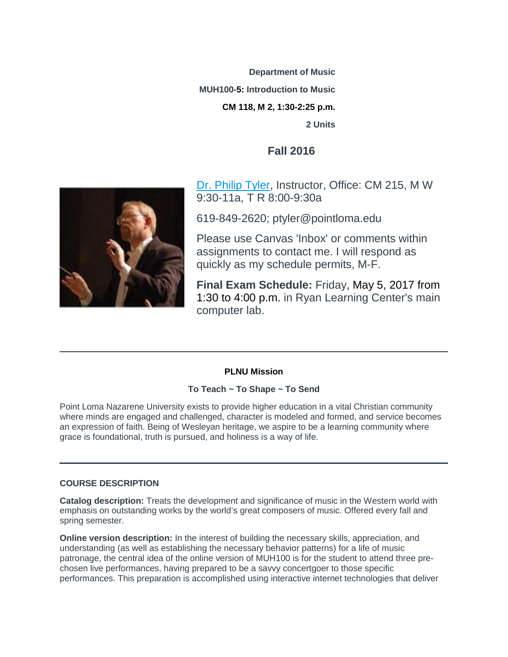**Department of Music MUH100-5: Introduction to Music CM 118, M 2, 1:30-2:25 p.m. 2 Units**

# **Fall 2016**



[Dr. Philip Tyler,](https://canvas.pointloma.edu/courses/32596/pages/philip-tyler-bio) Instructor, Office: CM 215, M W 9:30-11a, T R 8:00-9:30a

619-849-2620; ptyler@pointloma.edu

Please use Canvas 'Inbox' or comments within assignments to contact me. I will respond as quickly as my schedule permits, M-F.

**Final Exam Schedule:** Friday, May 5, 2017 from 1:30 to 4:00 p.m. in Ryan Learning Center's main computer lab.

# **PLNU Mission**

# **To Teach ~ To Shape ~ To Send**

Point Loma Nazarene University exists to provide higher education in a vital Christian community where minds are engaged and challenged, character is modeled and formed, and service becomes an expression of faith. Being of Wesleyan heritage, we aspire to be a learning community where grace is foundational, truth is pursued, and holiness is a way of life.

### **COURSE DESCRIPTION**

**Catalog description:** Treats the development and significance of music in the Western world with emphasis on outstanding works by the world's great composers of music. Offered every fall and spring semester.

**Online version description:** In the interest of building the necessary skills, appreciation, and understanding (as well as establishing the necessary behavior patterns) for a life of music patronage, the central idea of the online version of MUH100 is for the student to attend three prechosen live performances, having prepared to be a savvy concertgoer to those specific performances. This preparation is accomplished using interactive internet technologies that deliver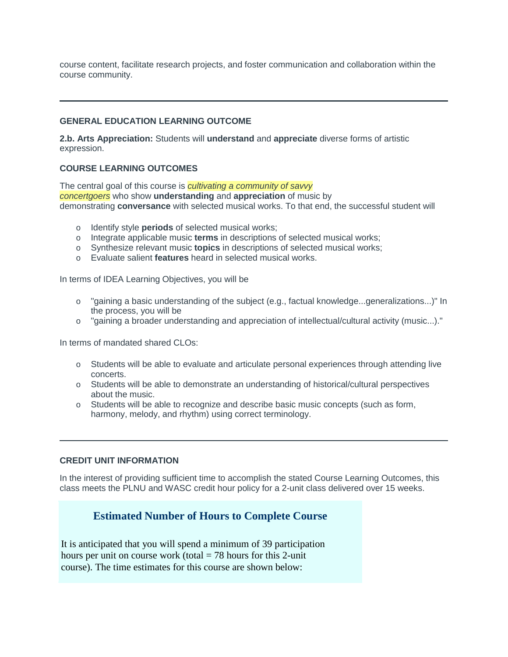course content, facilitate research projects, and foster communication and collaboration within the course community.

# **GENERAL EDUCATION LEARNING OUTCOME**

**2.b. Arts Appreciation:** Students will **understand** and **appreciate** diverse forms of artistic expression.

## **COURSE LEARNING OUTCOMES**

The central goal of this course is *cultivating a community of savvy concertgoers* who show **understanding** and **appreciation** of music by demonstrating **conversance** with selected musical works. To that end, the successful student will

- o Identify style **periods** of selected musical works;
- o Integrate applicable music **terms** in descriptions of selected musical works;
- o Synthesize relevant music **topics** in descriptions of selected musical works;
- o Evaluate salient **features** heard in selected musical works.

In terms of IDEA Learning Objectives, you will be

- o "gaining a basic understanding of the subject (e.g., factual knowledge...generalizations...)" In the process, you will be
- o "gaining a broader understanding and appreciation of intellectual/cultural activity (music...)."

In terms of mandated shared CLOs:

- o Students will be able to evaluate and articulate personal experiences through attending live concerts.
- o Students will be able to demonstrate an understanding of historical/cultural perspectives about the music.
- o Students will be able to recognize and describe basic music concepts (such as form, harmony, melody, and rhythm) using correct terminology.

## **CREDIT UNIT INFORMATION**

In the interest of providing sufficient time to accomplish the stated Course Learning Outcomes, this class meets the PLNU and WASC credit hour policy for a 2-unit class delivered over 15 weeks.

# **Estimated Number of Hours to Complete Course**

It is anticipated that you will spend a minimum of 39 participation hours per unit on course work (total  $= 78$  hours for this 2-unit course). The time estimates for this course are shown below: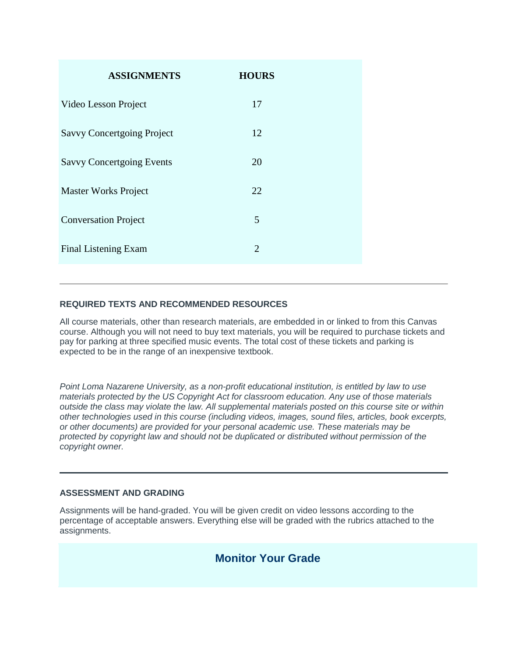| <b>ASSIGNMENTS</b>                | <b>HOURS</b>   |  |
|-----------------------------------|----------------|--|
| Video Lesson Project              | 17             |  |
| <b>Savvy Concertgoing Project</b> | 12             |  |
| <b>Savvy Concertgoing Events</b>  | 20             |  |
| <b>Master Works Project</b>       | 22             |  |
| <b>Conversation Project</b>       | 5              |  |
| Final Listening Exam              | $\overline{2}$ |  |
|                                   |                |  |

# **REQUIRED TEXTS AND RECOMMENDED RESOURCES**

All course materials, other than research materials, are embedded in or linked to from this Canvas course. Although you will not need to buy text materials, you will be required to purchase tickets and pay for parking at three specified music events. The total cost of these tickets and parking is expected to be in the range of an inexpensive textbook.

*Point Loma Nazarene University, as a non-profit educational institution, is entitled by law to use materials protected by the US Copyright Act for classroom education. Any use of those materials outside the class may violate the law. All supplemental materials posted on this course site or within other technologies used in this course (including videos, images, sound files, articles, book excerpts, or other documents) are provided for your personal academic use. These materials may be protected by copyright law and should not be duplicated or distributed without permission of the copyright owner.*

### **ASSESSMENT AND GRADING**

Assignments will be hand-graded. You will be given credit on video lessons according to the percentage of acceptable answers. Everything else will be graded with the rubrics attached to the assignments.

# **Monitor Your Grade**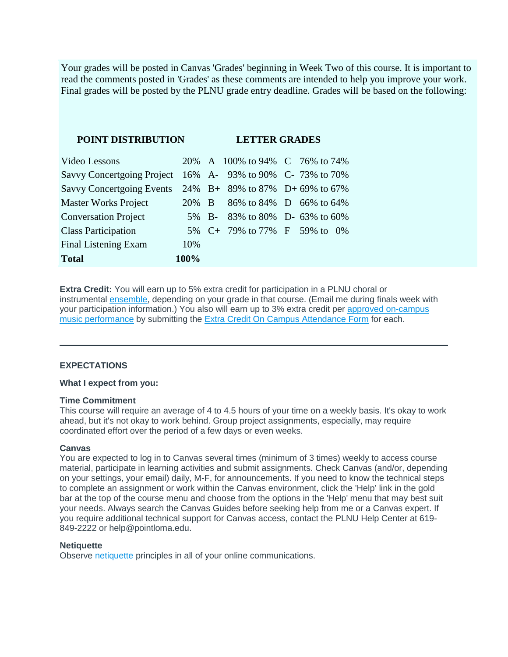Your grades will be posted in Canvas 'Grades' beginning in Week Two of this course. It is important to read the comments posted in 'Grades' as these comments are intended to help you improve your work. Final grades will be posted by the PLNU grade entry deadline. Grades will be based on the following:

| <b>POINT DISTRIBUTION</b>         |       | <b>LETTER GRADES</b> |                                 |  |  |  |  |
|-----------------------------------|-------|----------------------|---------------------------------|--|--|--|--|
| Video Lessons                     |       |                      | 20% A 100% to 94% C 76% to 74%  |  |  |  |  |
| <b>Savvy Concertgoing Project</b> |       |                      | 16% A-93% to 90% C-73% to 70%   |  |  |  |  |
| <b>Savvy Concertgoing Events</b>  |       |                      | 24% B+ 89% to 87% D+ 69% to 67% |  |  |  |  |
| <b>Master Works Project</b>       | 20% B |                      | 86% to 84% D 66% to 64%         |  |  |  |  |
| <b>Conversation Project</b>       |       |                      | 5% B- 83% to 80% D- 63% to 60%  |  |  |  |  |
| <b>Class Participation</b>        |       |                      | 5% C+ 79% to 77% F 59% to 0%    |  |  |  |  |
| Final Listening Exam              | 10%   |                      |                                 |  |  |  |  |
| <b>Total</b>                      | 100%  |                      |                                 |  |  |  |  |

**Extra Credit:** You will earn up to 5% extra credit for participation in a PLNU choral or instrumental [ensemble,](http://www.pointloma.edu/experience/academics/schools-departments/department-music/ensembles) depending on your grade in that course. (Email me during finals week with your participation information.) You also will earn up to 3% extra credit per [approved on-campus](http://www.pointloma.edu/experience/academics/schools-departments/department-music/music-events)  [music performance](http://www.pointloma.edu/experience/academics/schools-departments/department-music/music-events) by submitting the [Extra Credit On Campus Attendance Form](https://canvas.pointloma.edu/courses/32596/pages/extra-credit-on-campus-attendance-form) for each.

#### **EXPECTATIONS**

#### **What I expect from you:**

#### **Time Commitment**

This course will require an average of 4 to 4.5 hours of your time on a weekly basis. It's okay to work ahead, but it's not okay to work behind. Group project assignments, especially, may require coordinated effort over the period of a few days or even weeks.

#### **Canvas**

You are expected to log in to Canvas several times (minimum of 3 times) weekly to access course material, participate in learning activities and submit assignments. Check Canvas (and/or, depending on your settings, your email) daily, M-F, for announcements. If you need to know the technical steps to complete an assignment or work within the Canvas environment, click the 'Help' link in the gold bar at the top of the course menu and choose from the options in the 'Help' menu that may best suit your needs. Always search the Canvas Guides before seeking help from me or a Canvas expert. If you require additional technical support for Canvas access, contact the PLNU Help Center at 619- 849-2222 or help@pointloma.edu.

#### **Netiquette**

Observe [netiquette](https://canvas.pointloma.edu/courses/32596/pages/netiquette) principles in all of your online communications.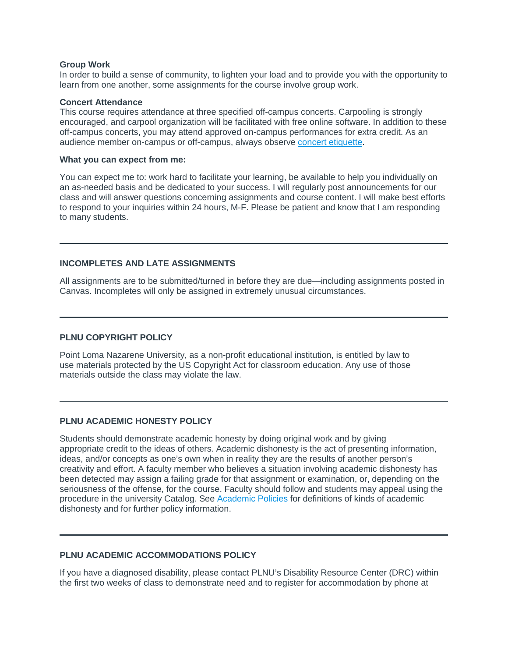#### **Group Work**

In order to build a sense of community, to lighten your load and to provide you with the opportunity to learn from one another, some assignments for the course involve group work.

#### **Concert Attendance**

This course requires attendance at three specified off-campus concerts. Carpooling is strongly encouraged, and carpool organization will be facilitated with free online software. In addition to these off-campus concerts, you may attend approved on-campus performances for extra credit. As an audience member on-campus or off-campus, always observe [concert etiquette.](https://canvas.pointloma.edu/courses/32596/pages/concert-etiquette)

#### **What you can expect from me:**

You can expect me to: work hard to facilitate your learning, be available to help you individually on an as-needed basis and be dedicated to your success. I will regularly post announcements for our class and will answer questions concerning assignments and course content. I will make best efforts to respond to your inquiries within 24 hours, M-F. Please be patient and know that I am responding to many students.

#### **INCOMPLETES AND LATE ASSIGNMENTS**

All assignments are to be submitted/turned in before they are due—including assignments posted in Canvas. Incompletes will only be assigned in extremely unusual circumstances.

#### **PLNU COPYRIGHT POLICY**

Point Loma Nazarene University, as a non-profit educational institution, is entitled by law to use materials protected by the US Copyright Act for classroom education. Any use of those materials outside the class may violate the law.

#### **PLNU ACADEMIC HONESTY POLICY**

Students should demonstrate academic honesty by doing original work and by giving appropriate credit to the ideas of others. Academic dishonesty is the act of presenting information, ideas, and/or concepts as one's own when in reality they are the results of another person's creativity and effort. A faculty member who believes a situation involving academic dishonesty has been detected may assign a failing grade for that assignment or examination, or, depending on the seriousness of the offense, for the course. Faculty should follow and students may appeal using the procedure in the university Catalog. See [Academic Policies](http://catalog.pointloma.edu/content.php?catoid=18&navoid=1278) for definitions of kinds of academic dishonesty and for further policy information.

#### **PLNU ACADEMIC ACCOMMODATIONS POLICY**

If you have a diagnosed disability, please contact PLNU's Disability Resource Center (DRC) within the first two weeks of class to demonstrate need and to register for accommodation by phone at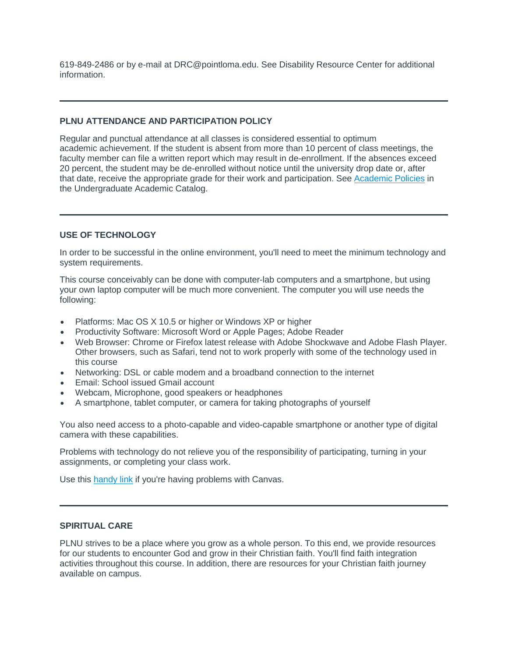619-849-2486 or by e-mail at DRC@pointloma.edu. See Disability Resource Center for additional information.

## **PLNU ATTENDANCE AND PARTICIPATION POLICY**

Regular and punctual attendance at all classes is considered essential to optimum academic achievement. If the student is absent from more than 10 percent of class meetings, the faculty member can file a written report which may result in de-enrollment. If the absences exceed 20 percent, the student may be de-enrolled without notice until the university drop date or, after that date, receive the appropriate grade for their work and participation. See [Academic Policies](http://catalog.pointloma.edu/content.php?catoid=18&navoid=1278#Class_Attendance) in the Undergraduate Academic Catalog.

### **USE OF TECHNOLOGY**

In order to be successful in the online environment, you'll need to meet the minimum technology and system requirements.

This course conceivably can be done with computer-lab computers and a smartphone, but using your own laptop computer will be much more convenient. The computer you will use needs the following:

- Platforms: Mac OS X 10.5 or higher or Windows XP or higher
- Productivity Software: Microsoft Word or Apple Pages; Adobe Reader
- Web Browser: Chrome or Firefox latest release with Adobe Shockwave and Adobe Flash Player. Other browsers, such as Safari, tend not to work properly with some of the technology used in this course
- Networking: DSL or cable modem and a broadband connection to the internet
- Email: School issued Gmail account
- Webcam, Microphone, good speakers or headphones
- A smartphone, tablet computer, or camera for taking photographs of yourself

You also need access to a photo-capable and video-capable smartphone or another type of digital camera with these capabilities.

Problems with technology do not relieve you of the responsibility of participating, turning in your assignments, or completing your class work.

Use this [handy link](https://community.canvaslms.com/community/answers/guides) if you're having problems with Canvas.

# **SPIRITUAL CARE**

PLNU strives to be a place where you grow as a whole person. To this end, we provide resources for our students to encounter God and grow in their Christian faith. You'll find faith integration activities throughout this course. In addition, there are resources for your Christian faith journey available on campus.